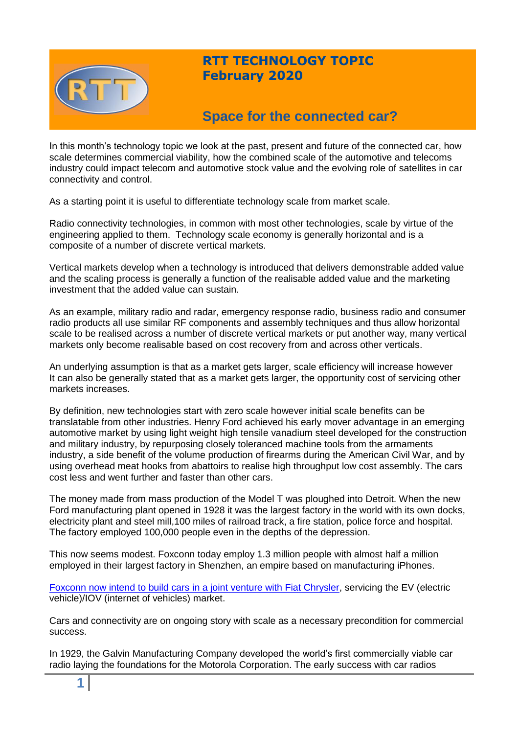

# **RTT TECHNOLOGY TOPIC February 2020**

# **Space for the connected car?**

In this month's technology topic we look at the past, present and future of the connected car, how scale determines commercial viability, how the combined scale of the automotive and telecoms industry could impact telecom and automotive stock value and the evolving role of satellites in car connectivity and control.

As a starting point it is useful to differentiate technology scale from market scale.

Radio connectivity technologies, in common with most other technologies, scale by virtue of the engineering applied to them. Technology scale economy is generally horizontal and is a composite of a number of discrete vertical markets.

Vertical markets develop when a technology is introduced that delivers demonstrable added value and the scaling process is generally a function of the realisable added value and the marketing investment that the added value can sustain.

As an example, military radio and radar, emergency response radio, business radio and consumer radio products all use similar RF components and assembly techniques and thus allow horizontal scale to be realised across a number of discrete vertical markets or put another way, many vertical markets only become realisable based on cost recovery from and across other verticals.

An underlying assumption is that as a market gets larger, scale efficiency will increase however It can also be generally stated that as a market gets larger, the opportunity cost of servicing other markets increases.

By definition, new technologies start with zero scale however initial scale benefits can be translatable from other industries. Henry Ford achieved his early mover advantage in an emerging automotive market by using light weight high tensile vanadium steel developed for the construction and military industry, by repurposing closely toleranced machine tools from the armaments industry, a side benefit of the volume production of firearms during the American Civil War, and by using overhead meat hooks from abattoirs to realise high throughput low cost assembly. The cars cost less and went further and faster than other cars.

The money made from mass production of the Model T was ploughed into Detroit. When the new Ford manufacturing plant opened in 1928 it was the largest factory in the world with its own docks, electricity plant and steel mill,100 miles of railroad track, a fire station, police force and hospital. The factory employed 100,000 people even in the depths of the depression.

This now seems modest. Foxconn today employ 1.3 million people with almost half a million employed in their largest factory in Shenzhen, an empire based on manufacturing iPhones.

Foxconn now intend to build cars [in a joint venture with Fiat Chrysler,](https://old.nasdaq.com/article/fiat-chrysler-fcau-amp-foxconn-sign-50-50-merger-agreement-cm1268828) servicing the EV (electric vehicle)/IOV (internet of vehicles) market.

Cars and connectivity are on ongoing story with scale as a necessary precondition for commercial success.

In 1929, the Galvin Manufacturing Company developed the world's first commercially viable car radio laying the foundations for the Motorola Corporation. The early success with car radios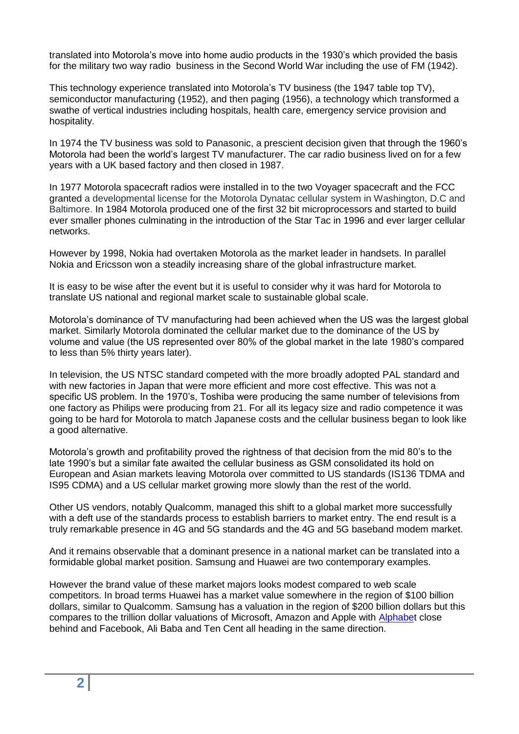translated into Motorola's move into home audio products in the 1930's which provided the basis for the military two way radio business in the Second World War including the use of FM (1942).

This technology experience translated into Motorola's TV business (the 1947 table top TV), semiconductor manufacturing (1952), and then paging (1956), a technology which transformed a swathe of vertical industries including hospitals, health care, emergency service provision and hospitality.

In 1974 the TV business was sold to Panasonic, a prescient decision given that through the 1960's Motorola had been the world's largest TV manufacturer. The car radio business lived on for a few years with a UK based factory and then closed in 1987.

In 1977 Motorola spacecraft radios were installed in to the two Voyager spacecraft and the FCC granted a developmental license for the Motorola Dynatac cellular system in Washington, D.C and Baltimore. In 1984 Motorola produced one of the first 32 bit microprocessors and started to build ever smaller phones culminating in the introduction of the Star Tac in 1996 and ever larger cellular networks.

However by 1998, Nokia had overtaken Motorola as the market leader in handsets. In parallel Nokia and Ericsson won a steadily increasing share of the global infrastructure market.

It is easy to be wise after the event but it is useful to consider why it was hard for Motorola to translate US national and regional market scale to sustainable global scale.

Motorola's dominance of TV manufacturing had been achieved when the US was the largest global market. Similarly Motorola dominated the cellular market due to the dominance of the US by volume and value (the US represented over 80% of the global market in the late 1980's compared to less than 5% thirty years later).

In television, the US NTSC standard competed with the more broadly adopted PAL standard and with new factories in Japan that were more efficient and more cost effective. This was not a specific US problem. In the 1970's, Toshiba were producing the same number of televisions from one factory as Philips were producing from 21. For all its legacy size and radio competence it was going to be hard for Motorola to match Japanese costs and the cellular business began to look like a good alternative.

Motorola's growth and profitability proved the rightness of that decision from the mid 80's to the late 1990's but a similar fate awaited the cellular business as GSM consolidated its hold on European and Asian markets leaving Motorola over committed to US standards (IS136 TDMA and IS95 CDMA) and a US cellular market growing more slowly than the rest of the world.

Other US vendors, notably Qualcomm, managed this shift to a global market more successfully with a deft use of the standards process to establish barriers to market entry. The end result is a truly remarkable presence in 4G and 5G standards and the 4G and 5G baseband modem market.

And it remains observable that a dominant presence in a national market can be translated into a formidable global market position. Samsung and Huawei are two contemporary examples.

However the brand value of these market majors looks modest compared to web scale competitors. In broad terms Huawei has a market value somewhere in the region of \$100 billion dollars, similar to Qualcomm. Samsung has a valuation in the region of \$200 billion dollars but this compares to the trillion dollar valuations of Microsoft, Amazon and Apple with [Alphabet](https://www.telegraph.co.uk/technology/2020/01/13/google-parent-company-alphabet-verge-trillion-dollar-valuation/) close behind and Facebook, Ali Baba and Ten Cent all heading in the same direction.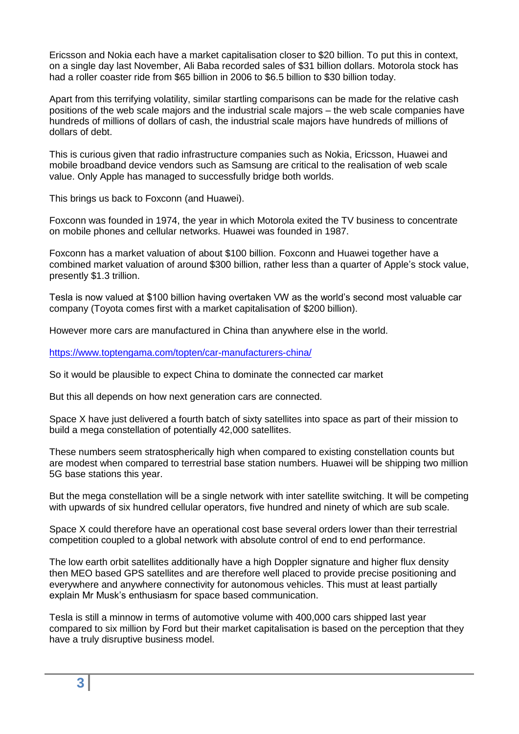Ericsson and Nokia each have a market capitalisation closer to \$20 billion. To put this in context, on a single day last November, Ali Baba recorded sales of \$31 billion dollars. Motorola stock has had a roller coaster ride from \$65 billion in 2006 to \$6.5 billion to \$30 billion today.

Apart from this terrifying volatility, similar startling comparisons can be made for the relative cash positions of the web scale majors and the industrial scale majors – the web scale companies have hundreds of millions of dollars of cash, the industrial scale majors have hundreds of millions of dollars of debt.

This is curious given that radio infrastructure companies such as Nokia, Ericsson, Huawei and mobile broadband device vendors such as Samsung are critical to the realisation of web scale value. Only Apple has managed to successfully bridge both worlds.

This brings us back to Foxconn (and Huawei).

Foxconn was founded in 1974, the year in which Motorola exited the TV business to concentrate on mobile phones and cellular networks. Huawei was founded in 1987.

Foxconn has a market valuation of about \$100 billion. Foxconn and Huawei together have a combined market valuation of around \$300 billion, rather less than a quarter of Apple's stock value, presently \$1.3 trillion.

Tesla is now valued at \$100 billion having overtaken VW as the world's second most valuable car company (Toyota comes first with a market capitalisation of \$200 billion).

However more cars are manufactured in China than anywhere else in the world.

<https://www.toptengama.com/topten/car-manufacturers-china/>

So it would be plausible to expect China to dominate the connected car market

But this all depends on how next generation cars are connected.

Space X have just delivered a fourth batch of sixty satellites into space as part of their mission to build a mega constellation of potentially 42,000 satellites.

These numbers seem stratospherically high when compared to existing constellation counts but are modest when compared to terrestrial base station numbers. Huawei will be shipping two million 5G base stations this year.

But the mega constellation will be a single network with inter satellite switching. It will be competing with upwards of six hundred cellular operators, five hundred and ninety of which are sub scale.

Space X could therefore have an operational cost base several orders lower than their terrestrial competition coupled to a global network with absolute control of end to end performance.

The low earth orbit satellites additionally have a high Doppler signature and higher flux density then MEO based GPS satellites and are therefore well placed to provide precise positioning and everywhere and anywhere connectivity for autonomous vehicles. This must at least partially explain Mr Musk's enthusiasm for space based communication.

Tesla is still a minnow in terms of automotive volume with 400,000 cars shipped last year compared to six million by Ford but their market capitalisation is based on the perception that they have a truly disruptive business model.